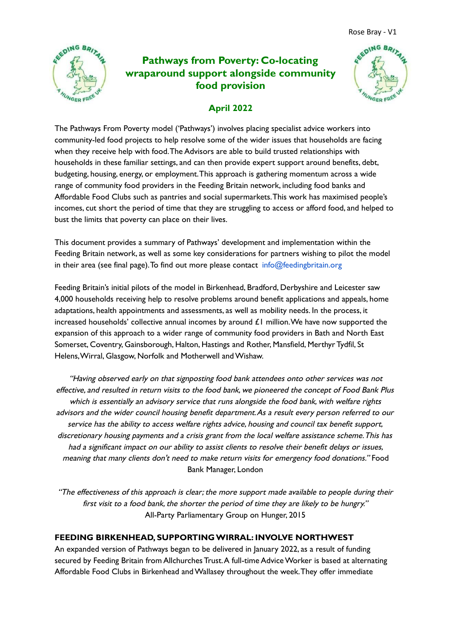

# **Pathways from Poverty: Co-locating wraparound support alongside community food provision**



## **April 2022**

The Pathways From Poverty model ('Pathways') involves placing specialist advice workers into community-led food projects to help resolve some of the wider issues that households are facing when they receive help with food.The Advisors are able to build trusted relationships with households in these familiar settings, and can then provide expert support around benefits, debt, budgeting, housing, energy, or employment.This approach is gathering momentum across a wide range of community food providers in the Feeding Britain network, including food banks and Affordable Food Clubs such as pantries and social supermarkets.This work has maximised people's incomes, cut short the period of time that they are struggling to access or afford food, and helped to bust the limits that poverty can place on their lives.

This document provides a summary of Pathways' development and implementation within the Feeding Britain network, as well as some key considerations for partners wishing to pilot the model in their area (see final page). To find out more please contact  $info@feedingbritain.org$ 

Feeding Britain's initial pilots of the model in Birkenhead, Bradford, Derbyshire and Leicester saw 4,000 households receiving help to resolve problems around benefit applications and appeals, home adaptations, health appointments and assessments, as well as mobility needs. In the process, it increased households' collective annual incomes by around £1 million.We have now supported the expansion of this approach to a wider range of community food providers in Bath and North East Somerset, Coventry, Gainsborough, Halton, Hastings and Rother, Mansfield, Merthyr Tydfil, St Helens, Wirral, Glasgow, Norfolk and Motherwell and Wishaw.

"Having observed early on that signposting food bank attendees onto other services was not effective, and resulted in return visits to the food bank, we pioneered the concept of Food Bank Plus which is essentially an advisory service that runs alongside the food bank, with welfare rights advisors and the wider council housing benefit department.As <sup>a</sup> result every person referred to our service has the ability to access welfare rights advice, housing and council tax benefit support, discretionary housing payments and <sup>a</sup> crisis grant from the local welfare assistance scheme.This has had <sup>a</sup> significant impact on our ability to assist clients to resolve their benefit delays or issues, meaning that many clients don't need to make return visits for emergency food donations." Food Bank Manager, London

"The effectiveness of this approach is clear; the more support made available to people during their first visit to <sup>a</sup> food bank, the shorter the period of time they are likely to be hungry." All-Party Parliamentary Group on Hunger, 2015

## **FEEDING BIRKENHEAD, SUPPORTINGWIRRAL: INVOLVE NORTHWEST**

An expanded version of Pathways began to be delivered in January 2022, as a result of funding secured by Feeding Britain from Allchurches Trust. A full-time Advice Worker is based at alternating Affordable Food Clubs in Birkenhead andWallasey throughout the week.They offer immediate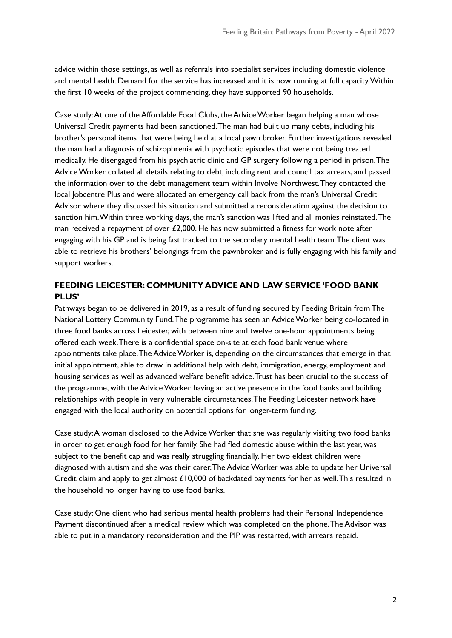advice within those settings, as well as referrals into specialist services including domestic violence and mental health. Demand for the service has increased and it is now running at full capacity.Within the first 10 weeks of the project commencing, they have supported 90 households.

Case study:At one of the Affordable Food Clubs, the AdviceWorker began helping a man whose Universal Credit payments had been sanctioned.The man had built up many debts, including his brother's personal items that were being held at a local pawn broker. Further investigations revealed the man had a diagnosis of schizophrenia with psychotic episodes that were not being treated medically. He disengaged from his psychiatric clinic and GP surgery following a period in prison.The AdviceWorker collated all details relating to debt, including rent and council tax arrears, and passed the information over to the debt management team within Involve Northwest.They contacted the local Jobcentre Plus and were allocated an emergency call back from the man's Universal Credit Advisor where they discussed his situation and submitted a reconsideration against the decision to sanction him.Within three working days, the man's sanction was lifted and all monies reinstated.The man received a repayment of over  $£2,000$ . He has now submitted a fitness for work note after engaging with his GP and is being fast tracked to the secondary mental health team.The client was able to retrieve his brothers' belongings from the pawnbroker and is fully engaging with his family and support workers.

## **FEEDING LEICESTER: COMMUNITY ADVICE AND LAW SERVICE 'FOOD BANK PLUS'**

Pathways began to be delivered in 2019, as a result of funding secured by Feeding Britain fromThe National Lottery Community Fund.The programme has seen an AdviceWorker being co-located in three food banks across Leicester, with between nine and twelve one-hour appointments being offered each week.There is a confidential space on-site at each food bank venue where appointments take place. The Advice Worker is, depending on the circumstances that emerge in that initial appointment, able to draw in additional help with debt, immigration, energy, employment and housing services as well as advanced welfare benefit advice.Trust has been crucial to the success of the programme, with the Advice Worker having an active presence in the food banks and building relationships with people in very vulnerable circumstances.The Feeding Leicester network have engaged with the local authority on potential options for longer-term funding.

Case study:A woman disclosed to the AdviceWorker that she was regularly visiting two food banks in order to get enough food for her family. She had fled domestic abuse within the last year, was subject to the benefit cap and was really struggling financially. Her two eldest children were diagnosed with autism and she was their carer.The AdviceWorker was able to update her Universal Credit claim and apply to get almost £10,000 of backdated payments for her as well.This resulted in the household no longer having to use food banks.

Case study: One client who had serious mental health problems had their Personal Independence Payment discontinued after a medical review which was completed on the phone.The Advisor was able to put in a mandatory reconsideration and the PIP was restarted, with arrears repaid.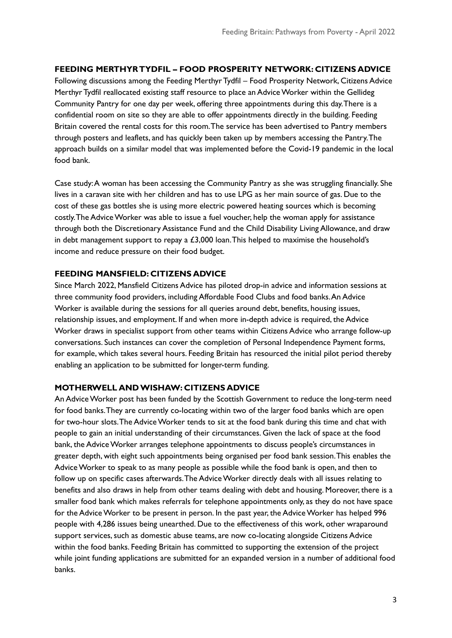#### **FEEDING MERTHYRTYDFIL – FOOD PROSPERITY NETWORK: CITIZENS ADVICE**

Following discussions among the Feeding Merthyr Tydfil – Food Prosperity Network, Citizens Advice Merthyr Tydfil reallocated existing staff resource to place an AdviceWorker within the Gellideg Community Pantry for one day per week, offering three appointments during this day.There is a confidential room on site so they are able to offer appointments directly in the building. Feeding Britain covered the rental costs for this room.The service has been advertised to Pantry members through posters and leaflets, and has quickly been taken up by members accessing the Pantry.The approach builds on a similar model that was implemented before the Covid-19 pandemic in the local food bank.

Case study:A woman has been accessing the Community Pantry as she was struggling financially. She lives in a caravan site with her children and has to use LPG as her main source of gas. Due to the cost of these gas bottles she is using more electric powered heating sources which is becoming costly.The AdviceWorker was able to issue a fuel voucher, help the woman apply for assistance through both the Discretionary Assistance Fund and the Child Disability Living Allowance, and draw in debt management support to repay a  $£3,000$  loan. This helped to maximise the household's income and reduce pressure on their food budget.

#### **FEEDING MANSFIELD: CITIZENS ADVICE**

Since March 2022, Mansfield Citizens Advice has piloted drop-in advice and information sessions at three community food providers, including Affordable Food Clubs and food banks.An Advice Worker is available during the sessions for all queries around debt, benefits, housing issues, relationship issues, and employment. If and when more in-depth advice is required, the Advice Worker draws in specialist support from other teams within Citizens Advice who arrange follow-up conversations. Such instances can cover the completion of Personal Independence Payment forms, for example, which takes several hours. Feeding Britain has resourced the initial pilot period thereby enabling an application to be submitted for longer-term funding.

#### **MOTHERWELL ANDWISHAW: CITIZENS ADVICE**

An Advice Worker post has been funded by the Scottish Government to reduce the long-term need for food banks.They are currently co-locating within two of the larger food banks which are open for two-hour slots.The AdviceWorker tends to sit at the food bank during this time and chat with people to gain an initial understanding of their circumstances. Given the lack of space at the food bank, the Advice Worker arranges telephone appointments to discuss people's circumstances in greater depth, with eight such appointments being organised per food bank session.This enables the AdviceWorker to speak to as many people as possible while the food bank is open, and then to follow up on specific cases afterwards.The AdviceWorker directly deals with all issues relating to benefits and also draws in help from other teams dealing with debt and housing. Moreover, there is a smaller food bank which makes referrals for telephone appointments only, as they do not have space for the AdviceWorker to be present in person. In the past year, the AdviceWorker has helped 996 people with 4,286 issues being unearthed. Due to the effectiveness of this work, other wraparound support services, such as domestic abuse teams, are now co-locating alongside Citizens Advice within the food banks. Feeding Britain has committed to supporting the extension of the project while joint funding applications are submitted for an expanded version in a number of additional food banks.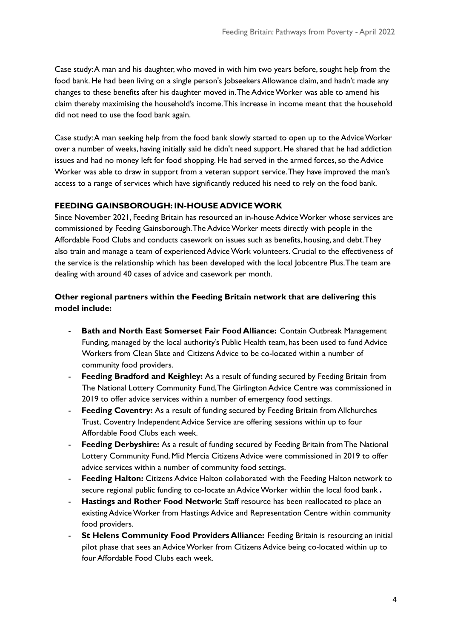Case study: A man and his daughter, who moved in with him two years before, sought help from the food bank. He had been living on a single person's Jobseekers Allowance claim, and hadn't made any changes to these benefits after his daughter moved in.The AdviceWorker was able to amend his claim thereby maximising the household's income.This increase in income meant that the household did not need to use the food bank again.

Case study:A man seeking help from the food bank slowly started to open up to the AdviceWorker over a number of weeks, having initially said he didn't need support. He shared that he had addiction issues and had no money left for food shopping. He had served in the armed forces, so the Advice Worker was able to draw in support from a veteran support service.They have improved the man's access to a range of services which have significantly reduced his need to rely on the food bank.

#### **FEEDING GAINSBOROUGH: IN-HOUSE ADVICEWORK**

Since November 2021, Feeding Britain has resourced an in-house AdviceWorker whose services are commissioned by Feeding Gainsborough.The AdviceWorker meets directly with people in the Affordable Food Clubs and conducts casework on issues such as benefits, housing, and debt.They also train and manage a team of experienced AdviceWork volunteers. Crucial to the effectiveness of the service is the relationship which has been developed with the local Jobcentre Plus.The team are dealing with around 40 cases of advice and casework per month.

## **Other regional partners within the Feeding Britain network that are delivering this model include:**

- **Bath and North East Somerset Fair Food Alliance:** Contain Outbreak Management Funding, managed by the local authority's Public Health team, has been used to fund Advice Workers from Clean Slate and Citizens Advice to be co-located within a number of community food providers.
- **Feeding Bradford and Keighley:** As a result of funding secured by Feeding Britain from The National Lottery Community Fund,The Girlington Advice Centre was commissioned in 2019 to offer advice services within a number of emergency food settings.
- **Feeding Coventry:** As a result of funding secured by Feeding Britain from Allchurches Trust, Coventry Independent Advice Service are offering sessions within up to four Affordable Food Clubs each week.
- **Feeding Derbyshire:** As a result of funding secured by Feeding Britain from The National Lottery Community Fund, Mid Mercia Citizens Advice were commissioned in 2019 to offer advice services within a number of community food settings.
- **Feeding Halton:** Citizens Advice Halton collaborated with the Feeding Halton network to secure regional public funding to co-locate an AdviceWorker within the local food bank **.**
- **Hastings and Rother Food Network:** Staff resource has been reallocated to place an existing AdviceWorker from Hastings Advice and Representation Centre within community food providers.
- **St Helens Community Food Providers Alliance:** Feeding Britain is resourcing an initial pilot phase that sees an AdviceWorker from Citizens Advice being co-located within up to four Affordable Food Clubs each week.